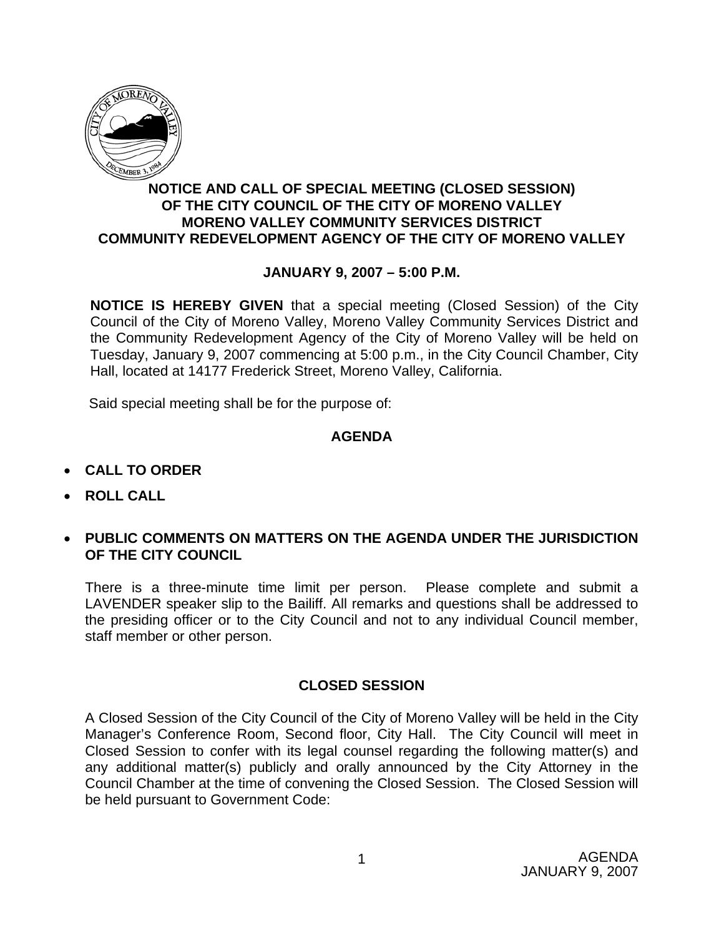

## **NOTICE AND CALL OF SPECIAL MEETING (CLOSED SESSION) OF THE CITY COUNCIL OF THE CITY OF MORENO VALLEY MORENO VALLEY COMMUNITY SERVICES DISTRICT COMMUNITY REDEVELOPMENT AGENCY OF THE CITY OF MORENO VALLEY**

## **JANUARY 9, 2007 – 5:00 P.M.**

**NOTICE IS HEREBY GIVEN** that a special meeting (Closed Session) of the City Council of the City of Moreno Valley, Moreno Valley Community Services District and the Community Redevelopment Agency of the City of Moreno Valley will be held on Tuesday, January 9, 2007 commencing at 5:00 p.m., in the City Council Chamber, City Hall, located at 14177 Frederick Street, Moreno Valley, California.

Said special meeting shall be for the purpose of:

## **AGENDA**

- **CALL TO ORDER**
- **ROLL CALL**
- **PUBLIC COMMENTS ON MATTERS ON THE AGENDA UNDER THE JURISDICTION OF THE CITY COUNCIL**

There is a three-minute time limit per person. Please complete and submit a LAVENDER speaker slip to the Bailiff. All remarks and questions shall be addressed to the presiding officer or to the City Council and not to any individual Council member, staff member or other person.

## **CLOSED SESSION**

A Closed Session of the City Council of the City of Moreno Valley will be held in the City Manager's Conference Room, Second floor, City Hall. The City Council will meet in Closed Session to confer with its legal counsel regarding the following matter(s) and any additional matter(s) publicly and orally announced by the City Attorney in the Council Chamber at the time of convening the Closed Session. The Closed Session will be held pursuant to Government Code: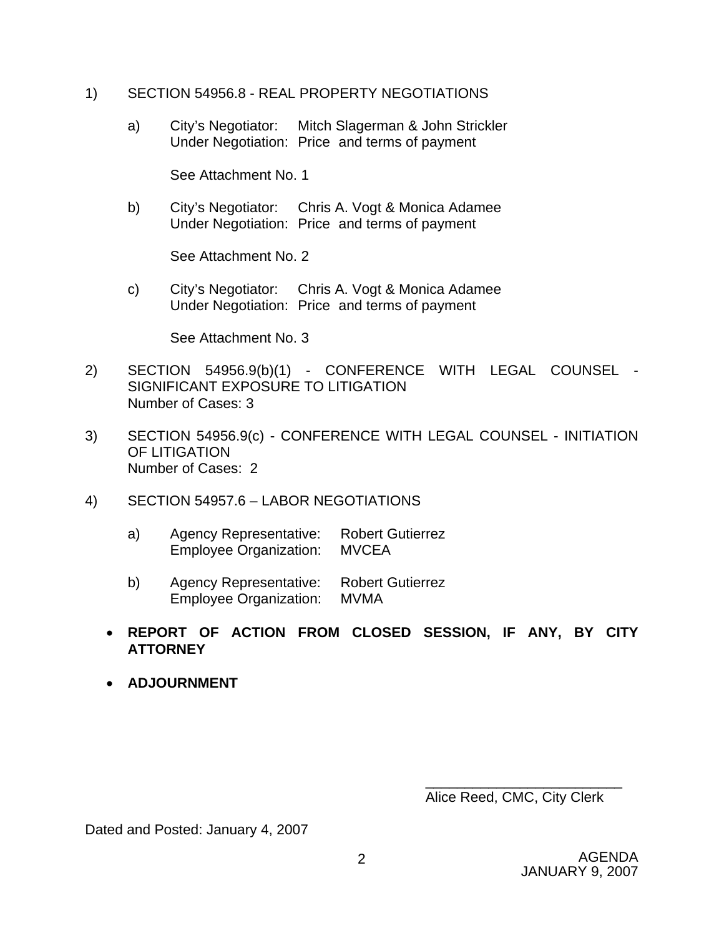- 1) SECTION 54956.8 REAL PROPERTY NEGOTIATIONS
	- a) City's Negotiator: Mitch Slagerman & John Strickler Under Negotiation: Price and terms of payment

See Attachment No. 1

 b) City's Negotiator: Chris A. Vogt & Monica Adamee Under Negotiation: Price and terms of payment

See Attachment No. 2

 c) City's Negotiator: Chris A. Vogt & Monica Adamee Under Negotiation: Price and terms of payment

See Attachment No. 3

- 2) SECTION 54956.9(b)(1) CONFERENCE WITH LEGAL COUNSEL SIGNIFICANT EXPOSURE TO LITIGATION Number of Cases: 3
- 3) SECTION 54956.9(c) CONFERENCE WITH LEGAL COUNSEL INITIATION OF LITIGATION Number of Cases: 2
- 4) SECTION 54957.6 LABOR NEGOTIATIONS
	- a) Agency Representative: Robert Gutierrez Employee Organization: MVCEA
	- b) Agency Representative: Robert Gutierrez Employee Organization: MVMA
	- **REPORT OF ACTION FROM CLOSED SESSION, IF ANY, BY CITY ATTORNEY**
	- **ADJOURNMENT**

Alice Reed, CMC, City Clerk

\_\_\_\_\_\_\_\_\_\_\_\_\_\_\_\_\_\_\_\_\_\_\_\_\_

Dated and Posted: January 4, 2007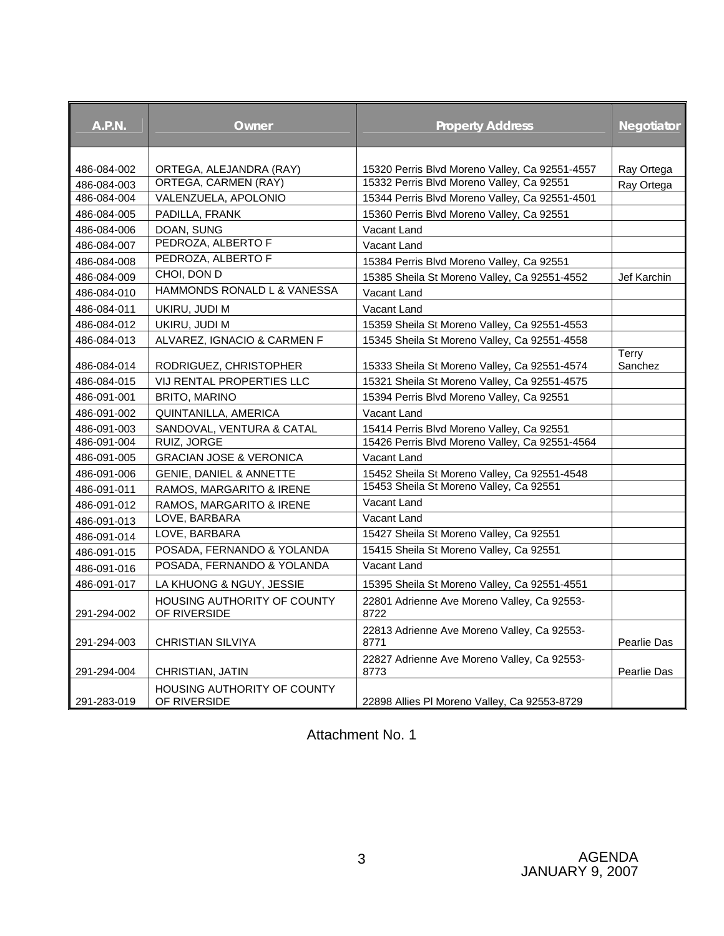| <b>A.P.N.</b> | Owner                                              | <b>Property Address</b>                             | <b>Negotiator</b> |
|---------------|----------------------------------------------------|-----------------------------------------------------|-------------------|
| 486-084-002   | ORTEGA, ALEJANDRA (RAY)                            | 15320 Perris Blvd Moreno Valley, Ca 92551-4557      | Ray Ortega        |
| 486-084-003   | ORTEGA, CARMEN (RAY)                               | 15332 Perris Blvd Moreno Valley, Ca 92551           | Ray Ortega        |
| 486-084-004   | VALENZUELA, APOLONIO                               | 15344 Perris Blvd Moreno Valley, Ca 92551-4501      |                   |
| 486-084-005   | PADILLA, FRANK                                     | 15360 Perris Blvd Moreno Valley, Ca 92551           |                   |
| 486-084-006   | DOAN, SUNG                                         | Vacant Land                                         |                   |
| 486-084-007   | PEDROZA, ALBERTO F                                 | Vacant Land                                         |                   |
| 486-084-008   | PEDROZA, ALBERTO F                                 | 15384 Perris Blvd Moreno Valley, Ca 92551           |                   |
| 486-084-009   | CHOI, DON D                                        | 15385 Sheila St Moreno Valley, Ca 92551-4552        | Jef Karchin       |
| 486-084-010   | HAMMONDS RONALD L & VANESSA                        | Vacant Land                                         |                   |
| 486-084-011   | UKIRU, JUDI M                                      | Vacant Land                                         |                   |
| 486-084-012   | UKIRU, JUDI M                                      | 15359 Sheila St Moreno Valley, Ca 92551-4553        |                   |
| 486-084-013   | ALVAREZ, IGNACIO & CARMEN F                        | 15345 Sheila St Moreno Valley, Ca 92551-4558        |                   |
| 486-084-014   | RODRIGUEZ, CHRISTOPHER                             | 15333 Sheila St Moreno Valley, Ca 92551-4574        | Terry<br>Sanchez  |
| 486-084-015   | VIJ RENTAL PROPERTIES LLC                          | 15321 Sheila St Moreno Valley, Ca 92551-4575        |                   |
| 486-091-001   | <b>BRITO, MARINO</b>                               | 15394 Perris Blvd Moreno Valley, Ca 92551           |                   |
| 486-091-002   | QUINTANILLA, AMERICA                               | Vacant Land                                         |                   |
| 486-091-003   | SANDOVAL, VENTURA & CATAL                          | 15414 Perris Blvd Moreno Valley, Ca 92551           |                   |
| 486-091-004   | RUIZ, JORGE                                        | 15426 Perris Blvd Moreno Valley, Ca 92551-4564      |                   |
| 486-091-005   | <b>GRACIAN JOSE &amp; VERONICA</b>                 | Vacant Land                                         |                   |
| 486-091-006   | <b>GENIE, DANIEL &amp; ANNETTE</b>                 | 15452 Sheila St Moreno Valley, Ca 92551-4548        |                   |
| 486-091-011   | RAMOS, MARGARITO & IRENE                           | 15453 Sheila St Moreno Valley, Ca 92551             |                   |
| 486-091-012   | RAMOS, MARGARITO & IRENE                           | Vacant Land                                         |                   |
| 486-091-013   | LOVE, BARBARA                                      | Vacant Land                                         |                   |
| 486-091-014   | LOVE, BARBARA                                      | 15427 Sheila St Moreno Valley, Ca 92551             |                   |
| 486-091-015   | POSADA, FERNANDO & YOLANDA                         | 15415 Sheila St Moreno Valley, Ca 92551             |                   |
| 486-091-016   | POSADA, FERNANDO & YOLANDA                         | Vacant Land                                         |                   |
| 486-091-017   | LA KHUONG & NGUY, JESSIE                           | 15395 Sheila St Moreno Valley, Ca 92551-4551        |                   |
| 291-294-002   | HOUSING AUTHORITY OF COUNTY<br>OF RIVERSIDE        | 22801 Adrienne Ave Moreno Valley, Ca 92553-<br>8722 |                   |
| 291-294-003   | <b>CHRISTIAN SILVIYA</b>                           | 22813 Adrienne Ave Moreno Valley, Ca 92553-<br>8771 | Pearlie Das       |
| 291-294-004   | CHRISTIAN, JATIN                                   | 22827 Adrienne Ave Moreno Valley, Ca 92553-<br>8773 | Pearlie Das       |
| 291-283-019   | <b>HOUSING AUTHORITY OF COUNTY</b><br>OF RIVERSIDE | 22898 Allies PI Moreno Valley, Ca 92553-8729        |                   |

Attachment No. 1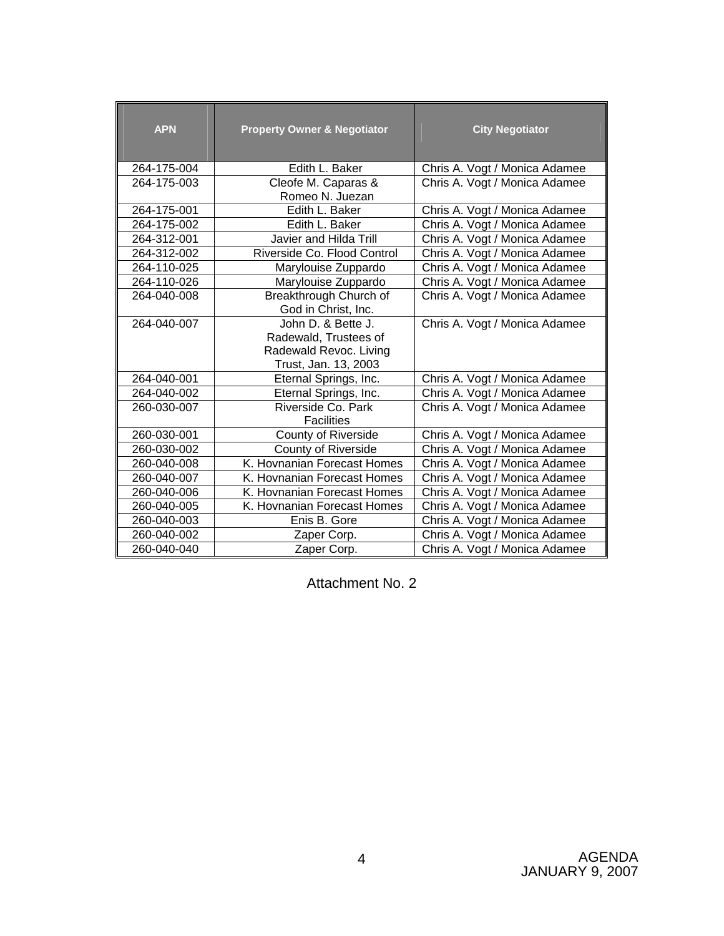| <b>APN</b>  | <b>Property Owner &amp; Negotiator</b>  | <b>City Negotiator</b>        |
|-------------|-----------------------------------------|-------------------------------|
| 264-175-004 | Edith L. Baker                          | Chris A. Vogt / Monica Adamee |
| 264-175-003 | Cleofe M. Caparas &                     | Chris A. Vogt / Monica Adamee |
|             | Romeo N. Juezan                         |                               |
| 264-175-001 | Edith L. Baker                          | Chris A. Vogt / Monica Adamee |
| 264-175-002 | Edith L. Baker                          | Chris A. Vogt / Monica Adamee |
| 264-312-001 | Javier and Hilda Trill                  | Chris A. Vogt / Monica Adamee |
| 264-312-002 | Riverside Co. Flood Control             | Chris A. Vogt / Monica Adamee |
| 264-110-025 | Marylouise Zuppardo                     | Chris A. Vogt / Monica Adamee |
| 264-110-026 | Marylouise Zuppardo                     | Chris A. Vogt / Monica Adamee |
| 264-040-008 | Breakthrough Church of                  | Chris A. Vogt / Monica Adamee |
|             | God in Christ, Inc.                     |                               |
| 264-040-007 | John D. & Bette J.                      | Chris A. Vogt / Monica Adamee |
|             | Radewald, Trustees of                   |                               |
|             | Radewald Revoc. Living                  |                               |
|             | Trust, Jan. 13, 2003                    |                               |
| 264-040-001 | Eternal Springs, Inc.                   | Chris A. Vogt / Monica Adamee |
| 264-040-002 | Eternal Springs, Inc.                   | Chris A. Vogt / Monica Adamee |
| 260-030-007 | Riverside Co. Park<br><b>Facilities</b> | Chris A. Vogt / Monica Adamee |
| 260-030-001 | County of Riverside                     | Chris A. Vogt / Monica Adamee |
| 260-030-002 | County of Riverside                     | Chris A. Vogt / Monica Adamee |
| 260-040-008 | K. Hovnanian Forecast Homes             | Chris A. Vogt / Monica Adamee |
| 260-040-007 | K. Hovnanian Forecast Homes             | Chris A. Vogt / Monica Adamee |
| 260-040-006 | K. Hovnanian Forecast Homes             | Chris A. Vogt / Monica Adamee |
| 260-040-005 | K. Hovnanian Forecast Homes             | Chris A. Vogt / Monica Adamee |
| 260-040-003 | Enis B. Gore                            | Chris A. Vogt / Monica Adamee |
| 260-040-002 | Zaper Corp.                             | Chris A. Vogt / Monica Adamee |
| 260-040-040 | Zaper Corp.                             | Chris A. Vogt / Monica Adamee |

Attachment No. 2